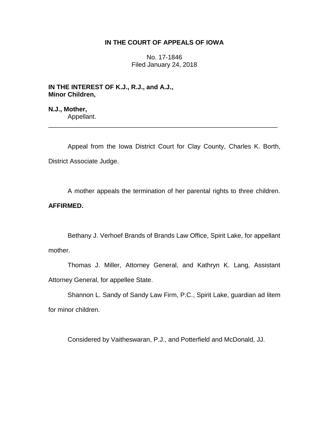# **IN THE COURT OF APPEALS OF IOWA**

No. 17-1846 Filed January 24, 2018

**IN THE INTEREST OF K.J., R.J., and A.J., Minor Children,**

**N.J., Mother,** Appellant.

Appeal from the Iowa District Court for Clay County, Charles K. Borth, District Associate Judge.

\_\_\_\_\_\_\_\_\_\_\_\_\_\_\_\_\_\_\_\_\_\_\_\_\_\_\_\_\_\_\_\_\_\_\_\_\_\_\_\_\_\_\_\_\_\_\_\_\_\_\_\_\_\_\_\_\_\_\_\_\_\_\_\_

A mother appeals the termination of her parental rights to three children. **AFFIRMED.**

Bethany J. Verhoef Brands of Brands Law Office, Spirit Lake, for appellant mother.

Thomas J. Miller, Attorney General, and Kathryn K. Lang, Assistant Attorney General, for appellee State.

Shannon L. Sandy of Sandy Law Firm, P.C., Spirit Lake, guardian ad litem for minor children.

Considered by Vaitheswaran, P.J., and Potterfield and McDonald, JJ.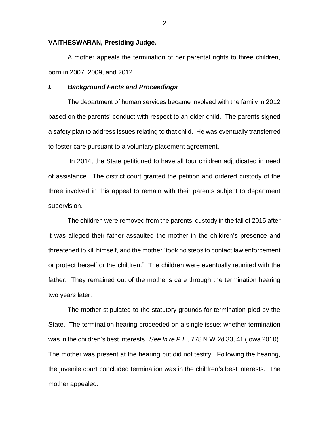## **VAITHESWARAN, Presiding Judge.**

A mother appeals the termination of her parental rights to three children, born in 2007, 2009, and 2012.

## *I. Background Facts and Proceedings*

The department of human services became involved with the family in 2012 based on the parents' conduct with respect to an older child. The parents signed a safety plan to address issues relating to that child. He was eventually transferred to foster care pursuant to a voluntary placement agreement.

In 2014, the State petitioned to have all four children adjudicated in need of assistance. The district court granted the petition and ordered custody of the three involved in this appeal to remain with their parents subject to department supervision.

The children were removed from the parents' custody in the fall of 2015 after it was alleged their father assaulted the mother in the children's presence and threatened to kill himself, and the mother "took no steps to contact law enforcement or protect herself or the children." The children were eventually reunited with the father. They remained out of the mother's care through the termination hearing two years later.

The mother stipulated to the statutory grounds for termination pled by the State. The termination hearing proceeded on a single issue: whether termination was in the children's best interests. *See In re P.L.*, 778 N.W.2d 33, 41 (Iowa 2010). The mother was present at the hearing but did not testify. Following the hearing, the juvenile court concluded termination was in the children's best interests. The mother appealed.

2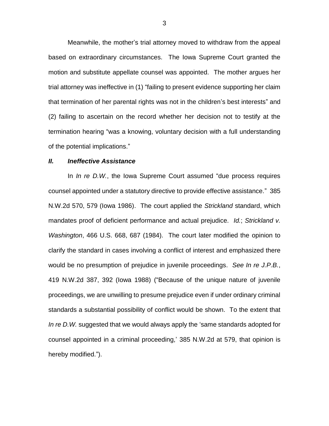Meanwhile, the mother's trial attorney moved to withdraw from the appeal based on extraordinary circumstances. The Iowa Supreme Court granted the motion and substitute appellate counsel was appointed. The mother argues her trial attorney was ineffective in (1) "failing to present evidence supporting her claim that termination of her parental rights was not in the children's best interests" and (2) failing to ascertain on the record whether her decision not to testify at the termination hearing "was a knowing, voluntary decision with a full understanding of the potential implications."

## *II. Ineffective Assistance*

In *In re D.W.*, the Iowa Supreme Court assumed "due process requires counsel appointed under a statutory directive to provide effective assistance." 385 N.W.2d 570, 579 (Iowa 1986). The court applied the *Strickland* standard, which mandates proof of deficient performance and actual prejudice. *Id.*; *Strickland v. Washington*, 466 U.S. 668, 687 (1984). The court later modified the opinion to clarify the standard in cases involving a conflict of interest and emphasized there would be no presumption of prejudice in juvenile proceedings. *See In re J.P.B.*, 419 N.W.2d 387, 392 (Iowa 1988) ("Because of the unique nature of juvenile proceedings, we are unwilling to presume prejudice even if under ordinary criminal standards a substantial possibility of conflict would be shown. To the extent that *In re D.W.* suggested that we would always apply the 'same standards adopted for counsel appointed in a criminal proceeding,' 385 N.W.2d at 579, that opinion is hereby modified.").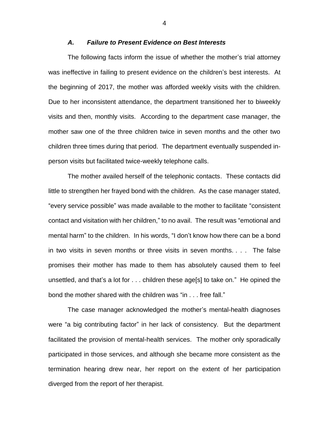## *A. Failure to Present Evidence on Best Interests*

The following facts inform the issue of whether the mother's trial attorney was ineffective in failing to present evidence on the children's best interests. At the beginning of 2017, the mother was afforded weekly visits with the children. Due to her inconsistent attendance, the department transitioned her to biweekly visits and then, monthly visits. According to the department case manager, the mother saw one of the three children twice in seven months and the other two children three times during that period. The department eventually suspended inperson visits but facilitated twice-weekly telephone calls.

The mother availed herself of the telephonic contacts. These contacts did little to strengthen her frayed bond with the children. As the case manager stated, "every service possible" was made available to the mother to facilitate "consistent contact and visitation with her children," to no avail. The result was "emotional and mental harm" to the children. In his words, "I don't know how there can be a bond in two visits in seven months or three visits in seven months. . . . The false promises their mother has made to them has absolutely caused them to feel unsettled, and that's a lot for . . . children these age[s] to take on." He opined the bond the mother shared with the children was "in . . . free fall."

The case manager acknowledged the mother's mental-health diagnoses were "a big contributing factor" in her lack of consistency. But the department facilitated the provision of mental-health services. The mother only sporadically participated in those services, and although she became more consistent as the termination hearing drew near, her report on the extent of her participation diverged from the report of her therapist.

4